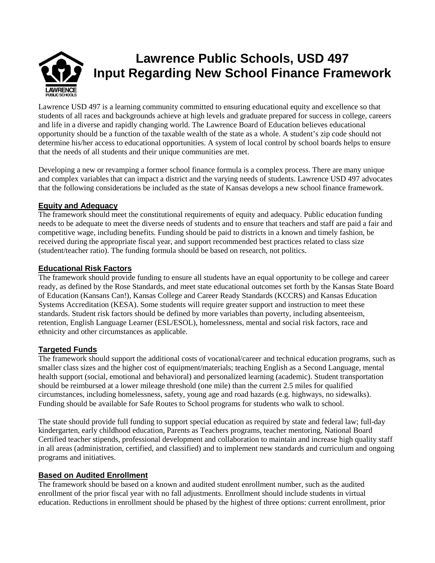# **Lawrence Public Schools, USD 497 Input Regarding New School Finance Framework**  LAWRENCE

Lawrence USD 497 is a learning community committed to ensuring educational equity and excellence so that students of all races and backgrounds achieve at high levels and graduate prepared for success in college, careers and life in a diverse and rapidly changing world. The Lawrence Board of Education believes educational opportunity should be a function of the taxable wealth of the state as a whole. A student's zip code should not determine his/her access to educational opportunities. A system of local control by school boards helps to ensure that the needs of all students and their unique communities are met.

Developing a new or revamping a former school finance formula is a complex process. There are many unique and complex variables that can impact a district and the varying needs of students. Lawrence USD 497 advocates that the following considerations be included as the state of Kansas develops a new school finance framework.

## **Equity and Adequacy**

The framework should meet the constitutional requirements of equity and adequacy. Public education funding needs to be adequate to meet the diverse needs of students and to ensure that teachers and staff are paid a fair and competitive wage, including benefits. Funding should be paid to districts in a known and timely fashion, be received during the appropriate fiscal year, and support recommended best practices related to class size (student/teacher ratio). The funding formula should be based on research, not politics.

#### **Educational Risk Factors**

The framework should provide funding to ensure all students have an equal opportunity to be college and career ready, as defined by the Rose Standards, and meet state educational outcomes set forth by the Kansas State Board of Education (Kansans Can!), Kansas College and Career Ready Standards (KCCRS) and Kansas Education Systems Accreditation (KESA). Some students will require greater support and instruction to meet these standards. Student risk factors should be defined by more variables than poverty, including absenteeism, retention, English Language Learner (ESL/ESOL), homelessness, mental and social risk factors, race and ethnicity and other circumstances as applicable.

## **Targeted Funds**

The framework should support the additional costs of vocational/career and technical education programs, such as smaller class sizes and the higher cost of equipment/materials; teaching English as a Second Language, mental health support (social, emotional and behavioral) and personalized learning (academic). Student transportation should be reimbursed at a lower mileage threshold (one mile) than the current 2.5 miles for qualified circumstances, including homelessness, safety, young age and road hazards (e.g. highways, no sidewalks). Funding should be available for Safe Routes to School programs for students who walk to school.

The state should provide full funding to support special education as required by state and federal law; full-day kindergarten, early childhood education, Parents as Teachers programs, teacher mentoring, National Board Certified teacher stipends, professional development and collaboration to maintain and increase high quality staff in all areas (administration, certified, and classified) and to implement new standards and curriculum and ongoing programs and initiatives.

## **Based on Audited Enrollment**

The framework should be based on a known and audited student enrollment number, such as the audited enrollment of the prior fiscal year with no fall adjustments. Enrollment should include students in virtual education. Reductions in enrollment should be phased by the highest of three options: current enrollment, prior